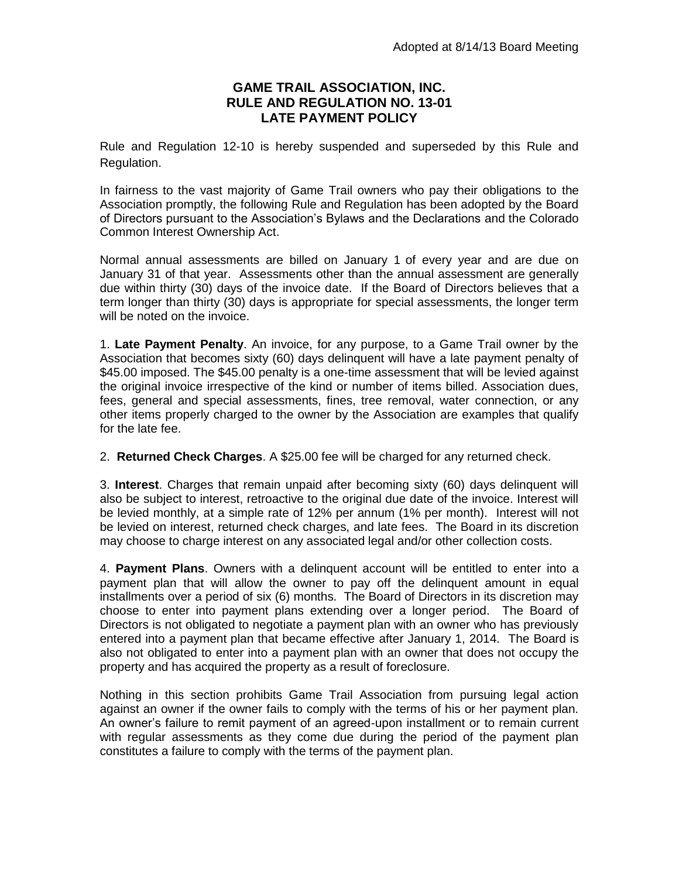## **GAME TRAIL ASSOCIATION, INC. RULE AND REGULATION NO. 13-01 LATE PAYMENT POLICY**

Rule and Regulation 12-10 is hereby suspended and superseded by this Rule and Regulation.

In fairness to the vast majority of Game Trail owners who pay their obligations to the Association promptly, the following Rule and Regulation has been adopted by the Board of Directors pursuant to the Association's Bylaws and the Declarations and the Colorado Common Interest Ownership Act.

Normal annual assessments are billed on January 1 of every year and are due on January 31 of that year. Assessments other than the annual assessment are generally due within thirty (30) days of the invoice date. If the Board of Directors believes that a term longer than thirty (30) days is appropriate for special assessments, the longer term will be noted on the invoice.

1. **Late Payment Penalty**. An invoice, for any purpose, to a Game Trail owner by the Association that becomes sixty (60) days delinquent will have a late payment penalty of \$45.00 imposed. The \$45.00 penalty is a one-time assessment that will be levied against the original invoice irrespective of the kind or number of items billed. Association dues, fees, general and special assessments, fines, tree removal, water connection, or any other items properly charged to the owner by the Association are examples that qualify for the late fee.

2. **Returned Check Charges**. A \$25.00 fee will be charged for any returned check.

3. **Interest**. Charges that remain unpaid after becoming sixty (60) days delinquent will also be subject to interest, retroactive to the original due date of the invoice. Interest will be levied monthly, at a simple rate of 12% per annum (1% per month). Interest will not be levied on interest, returned check charges, and late fees. The Board in its discretion may choose to charge interest on any associated legal and/or other collection costs.

4. **Payment Plans**. Owners with a delinquent account will be entitled to enter into a payment plan that will allow the owner to pay off the delinquent amount in equal installments over a period of six (6) months. The Board of Directors in its discretion may choose to enter into payment plans extending over a longer period. The Board of Directors is not obligated to negotiate a payment plan with an owner who has previously entered into a payment plan that became effective after January 1, 2014. The Board is also not obligated to enter into a payment plan with an owner that does not occupy the property and has acquired the property as a result of foreclosure.

Nothing in this section prohibits Game Trail Association from pursuing legal action against an owner if the owner fails to comply with the terms of his or her payment plan. An owner's failure to remit payment of an agreed-upon installment or to remain current with regular assessments as they come due during the period of the payment plan constitutes a failure to comply with the terms of the payment plan.